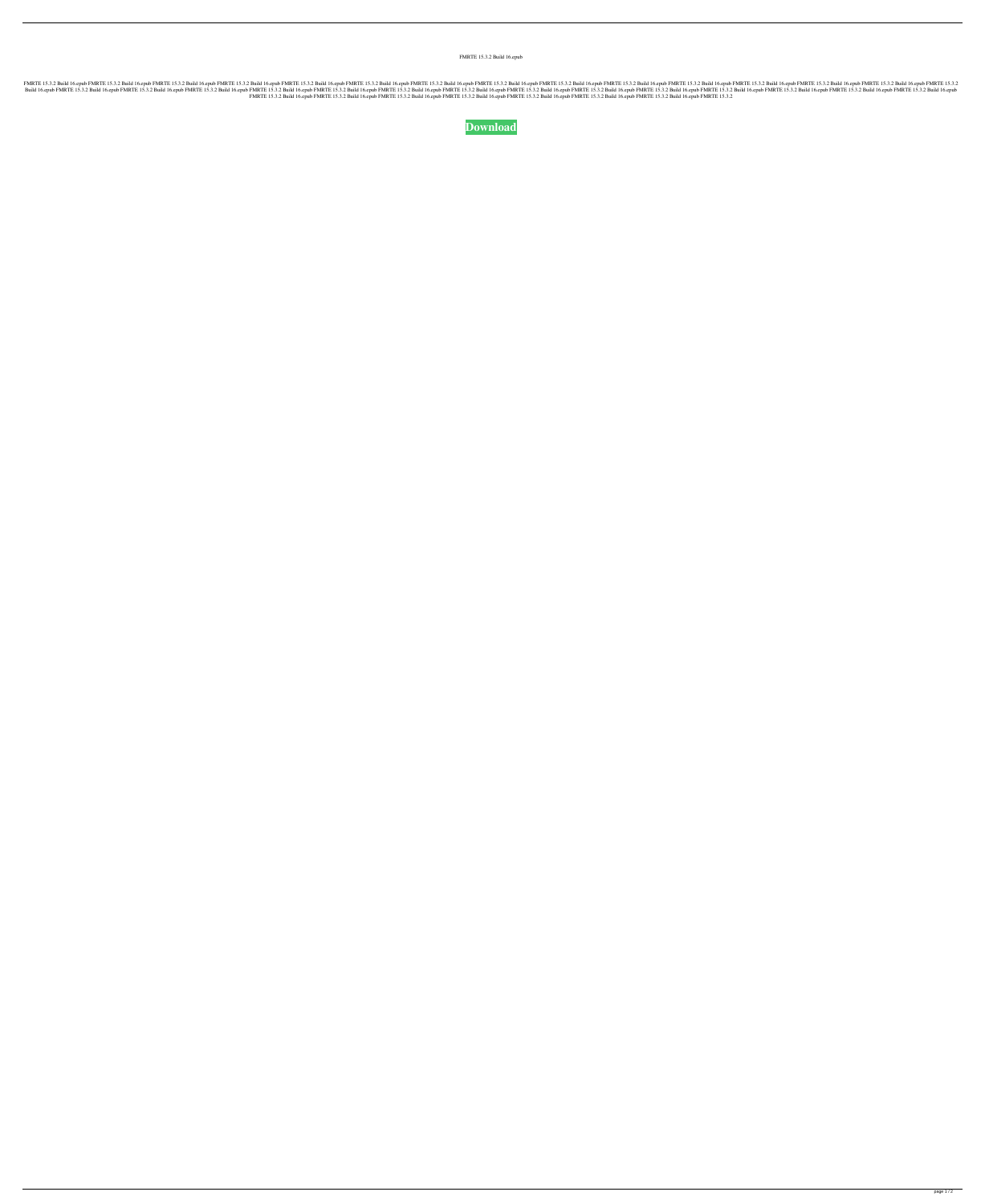FMRTE 15.3.2 Build 16.epub

15.3.2 Build 16.epub FMRTE 15.3.2 Build 16.epub FMRTE 15.3.2 Build 16.epub FMRTE 15.3.2 Build 16.epub FMRTE 15.3.2 Build 16.epub FMRTE 15.3.2 Build 16.epub FMRTE 15.3.2 Build 16.epub FMRTE 15.3.2 Build 16.epub FMRTE 15.3.2 16.epub PMRTE 15.3.2 Build 16.epub PMRTE 15.3.2 Build 16.epub FMRTE 15.3.2 Build 16.epub FMRTE 15.3.2 Build 16.epub FMRTE 15.3.2 Build 16.epub FMRTE 15.3.2 Build 16.epub FMRTE 15.3.2 Build 16.epub FMRTE 15.3.2 Build 16.epu FMRTE 15.3.2 Build 16.epub FMRTE 15.3.2 Build 16.epub FMRTE 15.3.2 Build 16.epub FMRTE 15.3.2 Build 16.epub FMRTE 15.3.2 Build 16.epub FMRTE 15.3.2 Build 16.epub FMRTE 15.3.2 Build 16.epub FMRTE 15.3.2